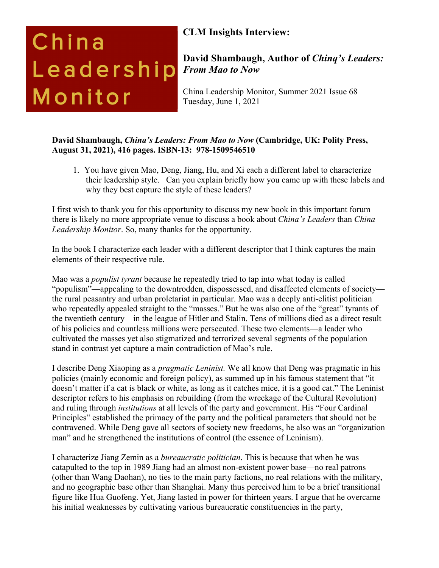# China Leadership Monitor

## **CLM Insights Interview:**

### **David Shambaugh, Author of** *Chinq's Leaders: From Mao to Now*

China Leadership Monitor, Summer 2021 Issue 68 Tuesday, June 1, 2021

#### **David Shambaugh,** *China's Leaders: From Mao to Now* **(Cambridge, UK: Polity Press, August 31, 2021), 416 pages. ISBN-13: 978-1509546510**

1. You have given Mao, Deng, Jiang, Hu, and Xi each a different label to characterize their leadership style. Can you explain briefly how you came up with these labels and why they best capture the style of these leaders?

I first wish to thank you for this opportunity to discuss my new book in this important forum there is likely no more appropriate venue to discuss a book about *China's Leaders* than *China Leadership Monitor*. So, many thanks for the opportunity.

In the book I characterize each leader with a different descriptor that I think captures the main elements of their respective rule.

Mao was a *populist tyrant* because he repeatedly tried to tap into what today is called "populism"—appealing to the downtrodden, dispossessed, and disaffected elements of society the rural peasantry and urban proletariat in particular. Mao was a deeply anti-elitist politician who repeatedly appealed straight to the "masses." But he was also one of the "great" tyrants of the twentieth century—in the league of Hitler and Stalin. Tens of millions died as a direct result of his policies and countless millions were persecuted. These two elements—a leader who cultivated the masses yet also stigmatized and terrorized several segments of the population stand in contrast yet capture a main contradiction of Mao's rule.

I describe Deng Xiaoping as a *pragmatic Leninist.* We all know that Deng was pragmatic in his policies (mainly economic and foreign policy), as summed up in his famous statement that "it doesn't matter if a cat is black or white, as long as it catches mice, it is a good cat." The Leninist descriptor refers to his emphasis on rebuilding (from the wreckage of the Cultural Revolution) and ruling through *institutions* at all levels of the party and government. His "Four Cardinal Principles" established the primacy of the party and the political parameters that should not be contravened. While Deng gave all sectors of society new freedoms, he also was an "organization man" and he strengthened the institutions of control (the essence of Leninism).

I characterize Jiang Zemin as a *bureaucratic politician*. This is because that when he was catapulted to the top in 1989 Jiang had an almost non-existent power base—no real patrons (other than Wang Daohan), no ties to the main party factions, no real relations with the military, and no geographic base other than Shanghai. Many thus perceived him to be a brief transitional figure like Hua Guofeng. Yet, Jiang lasted in power for thirteen years. I argue that he overcame his initial weaknesses by cultivating various bureaucratic constituencies in the party,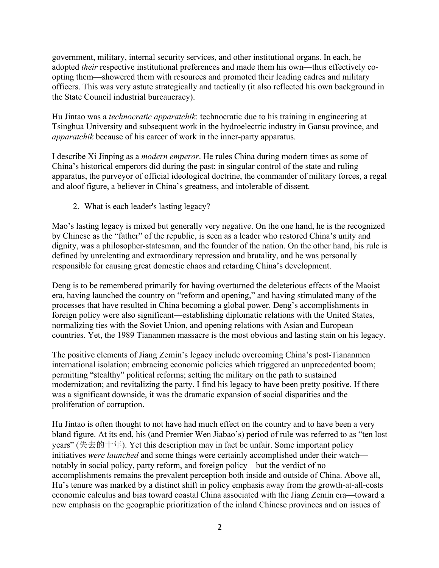government, military, internal security services, and other institutional organs. In each, he adopted *their* respective institutional preferences and made them his own—thus effectively coopting them—showered them with resources and promoted their leading cadres and military officers. This was very astute strategically and tactically (it also reflected his own background in the State Council industrial bureaucracy).

Hu Jintao was a *technocratic apparatchik*: technocratic due to his training in engineering at Tsinghua University and subsequent work in the hydroelectric industry in Gansu province, and *apparatchik* because of his career of work in the inner-party apparatus.

I describe Xi Jinping as a *modern emperor*. He rules China during modern times as some of China's historical emperors did during the past: in singular control of the state and ruling apparatus, the purveyor of official ideological doctrine, the commander of military forces, a regal and aloof figure, a believer in China's greatness, and intolerable of dissent.

2. What is each leader's lasting legacy?

Mao's lasting legacy is mixed but generally very negative. On the one hand, he is the recognized by Chinese as the "father" of the republic, is seen as a leader who restored China's unity and dignity, was a philosopher-statesman, and the founder of the nation. On the other hand, his rule is defined by unrelenting and extraordinary repression and brutality, and he was personally responsible for causing great domestic chaos and retarding China's development.

Deng is to be remembered primarily for having overturned the deleterious effects of the Maoist era, having launched the country on "reform and opening," and having stimulated many of the processes that have resulted in China becoming a global power. Deng's accomplishments in foreign policy were also significant—establishing diplomatic relations with the United States, normalizing ties with the Soviet Union, and opening relations with Asian and European countries. Yet, the 1989 Tiananmen massacre is the most obvious and lasting stain on his legacy.

The positive elements of Jiang Zemin's legacy include overcoming China's post-Tiananmen international isolation; embracing economic policies which triggered an unprecedented boom; permitting "stealthy" political reforms; setting the military on the path to sustained modernization; and revitalizing the party. I find his legacy to have been pretty positive. If there was a significant downside, it was the dramatic expansion of social disparities and the proliferation of corruption.

Hu Jintao is often thought to not have had much effect on the country and to have been a very bland figure. At its end, his (and Premier Wen Jiabao's) period of rule was referred to as "ten lost years" (失去的十年). Yet this description may in fact be unfair. Some important policy initiatives *were launched* and some things were certainly accomplished under their watch notably in social policy, party reform, and foreign policy—but the verdict of no accomplishments remains the prevalent perception both inside and outside of China. Above all, Hu's tenure was marked by a distinct shift in policy emphasis away from the growth-at-all-costs economic calculus and bias toward coastal China associated with the Jiang Zemin era—toward a new emphasis on the geographic prioritization of the inland Chinese provinces and on issues of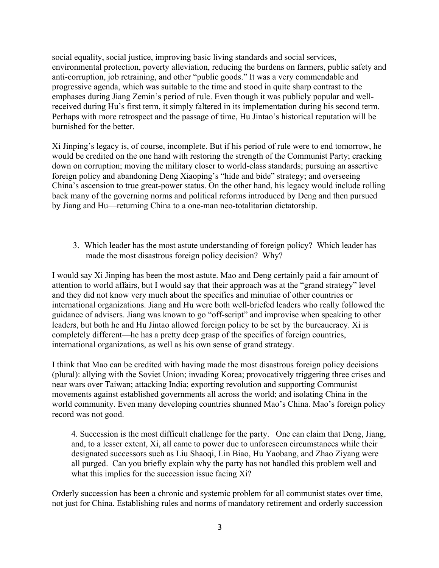social equality, social justice, improving basic living standards and social services, environmental protection, poverty alleviation, reducing the burdens on farmers, public safety and anti-corruption, job retraining, and other "public goods." It was a very commendable and progressive agenda, which was suitable to the time and stood in quite sharp contrast to the emphases during Jiang Zemin's period of rule. Even though it was publicly popular and wellreceived during Hu's first term, it simply faltered in its implementation during his second term. Perhaps with more retrospect and the passage of time, Hu Jintao's historical reputation will be burnished for the better.

Xi Jinping's legacy is, of course, incomplete. But if his period of rule were to end tomorrow, he would be credited on the one hand with restoring the strength of the Communist Party; cracking down on corruption; moving the military closer to world-class standards; pursuing an assertive foreign policy and abandoning Deng Xiaoping's "hide and bide" strategy; and overseeing China's ascension to true great-power status. On the other hand, his legacy would include rolling back many of the governing norms and political reforms introduced by Deng and then pursued by Jiang and Hu—returning China to a one-man neo-totalitarian dictatorship.

3. Which leader has the most astute understanding of foreign policy? Which leader has made the most disastrous foreign policy decision? Why?

I would say Xi Jinping has been the most astute. Mao and Deng certainly paid a fair amount of attention to world affairs, but I would say that their approach was at the "grand strategy" level and they did not know very much about the specifics and minutiae of other countries or international organizations. Jiang and Hu were both well-briefed leaders who really followed the guidance of advisers. Jiang was known to go "off-script" and improvise when speaking to other leaders, but both he and Hu Jintao allowed foreign policy to be set by the bureaucracy. Xi is completely different—he has a pretty deep grasp of the specifics of foreign countries, international organizations, as well as his own sense of grand strategy.

I think that Mao can be credited with having made the most disastrous foreign policy decisions (plural): allying with the Soviet Union; invading Korea; provocatively triggering three crises and near wars over Taiwan; attacking India; exporting revolution and supporting Communist movements against established governments all across the world; and isolating China in the world community. Even many developing countries shunned Mao's China. Mao's foreign policy record was not good.

4. Succession is the most difficult challenge for the party. One can claim that Deng, Jiang, and, to a lesser extent, Xi, all came to power due to unforeseen circumstances while their designated successors such as Liu Shaoqi, Lin Biao, Hu Yaobang, and Zhao Ziyang were all purged. Can you briefly explain why the party has not handled this problem well and what this implies for the succession issue facing Xi?

Orderly succession has been a chronic and systemic problem for all communist states over time, not just for China. Establishing rules and norms of mandatory retirement and orderly succession